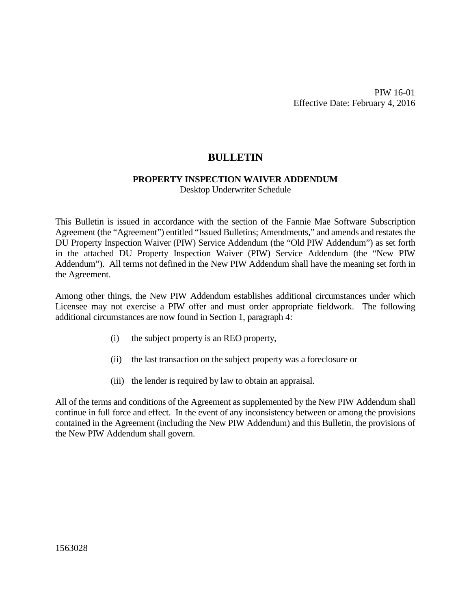PIW 16-01 Effective Date: February 4, 2016

# **BULLETIN**

#### **PROPERTY INSPECTION WAIVER ADDENDUM**

Desktop Underwriter Schedule

This Bulletin is issued in accordance with the section of the Fannie Mae Software Subscription Agreement (the "Agreement") entitled "Issued Bulletins; Amendments," and amends and restates the DU Property Inspection Waiver (PIW) Service Addendum (the "Old PIW Addendum") as set forth in the attached DU Property Inspection Waiver (PIW) Service Addendum (the "New PIW Addendum"). All terms not defined in the New PIW Addendum shall have the meaning set forth in the Agreement.

Among other things, the New PIW Addendum establishes additional circumstances under which Licensee may not exercise a PIW offer and must order appropriate fieldwork. The following additional circumstances are now found in Section 1, paragraph 4:

- (i) the subject property is an REO property,
- (ii) the last transaction on the subject property was a foreclosure or
- (iii) the lender is required by law to obtain an appraisal.

All of the terms and conditions of the Agreement as supplemented by the New PIW Addendum shall continue in full force and effect. In the event of any inconsistency between or among the provisions contained in the Agreement (including the New PIW Addendum) and this Bulletin, the provisions of the New PIW Addendum shall govern.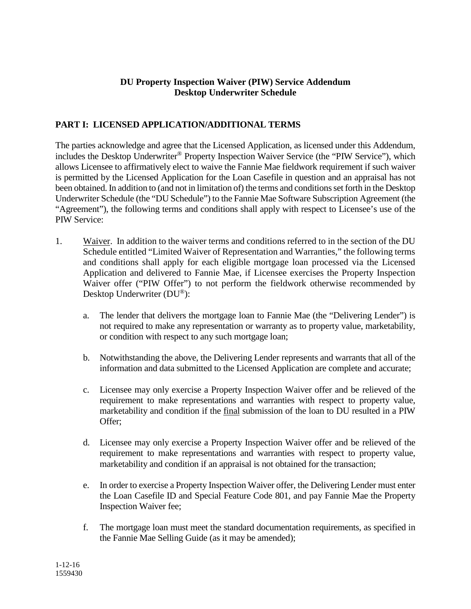### **DU Property Inspection Waiver (PIW) Service Addendum Desktop Underwriter Schedule**

### **PART I: LICENSED APPLICATION/ADDITIONAL TERMS**

The parties acknowledge and agree that the Licensed Application, as licensed under this Addendum, includes the Desktop Underwriter® Property Inspection Waiver Service (the "PIW Service"), which allows Licensee to affirmatively elect to waive the Fannie Mae fieldwork requirement if such waiver is permitted by the Licensed Application for the Loan Casefile in question and an appraisal has not been obtained. In addition to (and not in limitation of) the terms and conditions set forth in the Desktop Underwriter Schedule (the "DU Schedule") to the Fannie Mae Software Subscription Agreement (the "Agreement"), the following terms and conditions shall apply with respect to Licensee's use of the PIW Service:

- 1. Waiver. In addition to the waiver terms and conditions referred to in the section of the DU Schedule entitled "Limited Waiver of Representation and Warranties," the following terms and conditions shall apply for each eligible mortgage loan processed via the Licensed Application and delivered to Fannie Mae, if Licensee exercises the Property Inspection Waiver offer ("PIW Offer") to not perform the fieldwork otherwise recommended by Desktop Underwriter (DU®):
	- a. The lender that delivers the mortgage loan to Fannie Mae (the "Delivering Lender") is not required to make any representation or warranty as to property value, marketability, or condition with respect to any such mortgage loan;
	- b. Notwithstanding the above, the Delivering Lender represents and warrants that all of the information and data submitted to the Licensed Application are complete and accurate;
	- c. Licensee may only exercise a Property Inspection Waiver offer and be relieved of the requirement to make representations and warranties with respect to property value, marketability and condition if the final submission of the loan to DU resulted in a PIW Offer;
	- d. Licensee may only exercise a Property Inspection Waiver offer and be relieved of the requirement to make representations and warranties with respect to property value, marketability and condition if an appraisal is not obtained for the transaction;
	- e. In order to exercise a Property Inspection Waiver offer, the Delivering Lender must enter the Loan Casefile ID and Special Feature Code 801, and pay Fannie Mae the Property Inspection Waiver fee;
	- f. The mortgage loan must meet the standard documentation requirements, as specified in the Fannie Mae Selling Guide (as it may be amended);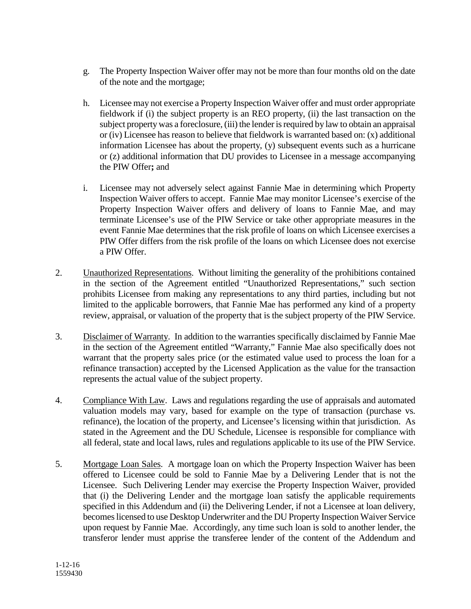- g. The Property Inspection Waiver offer may not be more than four months old on the date of the note and the mortgage;
- h. Licensee may not exercise a Property Inspection Waiver offer and must order appropriate fieldwork if (i) the subject property is an REO property, (ii) the last transaction on the subject property was a foreclosure, (iii) the lender is required by law to obtain an appraisal or (iv) Licensee has reason to believe that fieldwork is warranted based on: (x) additional information Licensee has about the property, (y) subsequent events such as a hurricane or (z) additional information that DU provides to Licensee in a message accompanying the PIW Offer**;** and
- i. Licensee may not adversely select against Fannie Mae in determining which Property Inspection Waiver offers to accept. Fannie Mae may monitor Licensee's exercise of the Property Inspection Waiver offers and delivery of loans to Fannie Mae, and may terminate Licensee's use of the PIW Service or take other appropriate measures in the event Fannie Mae determines that the risk profile of loans on which Licensee exercises a PIW Offer differs from the risk profile of the loans on which Licensee does not exercise a PIW Offer.
- 2. Unauthorized Representations. Without limiting the generality of the prohibitions contained in the section of the Agreement entitled "Unauthorized Representations," such section prohibits Licensee from making any representations to any third parties, including but not limited to the applicable borrowers, that Fannie Mae has performed any kind of a property review, appraisal, or valuation of the property that is the subject property of the PIW Service.
- 3. Disclaimer of Warranty. In addition to the warranties specifically disclaimed by Fannie Mae in the section of the Agreement entitled "Warranty," Fannie Mae also specifically does not warrant that the property sales price (or the estimated value used to process the loan for a refinance transaction) accepted by the Licensed Application as the value for the transaction represents the actual value of the subject property.
- 4. Compliance With Law. Laws and regulations regarding the use of appraisals and automated valuation models may vary, based for example on the type of transaction (purchase vs. refinance), the location of the property, and Licensee's licensing within that jurisdiction. As stated in the Agreement and the DU Schedule, Licensee is responsible for compliance with all federal, state and local laws, rules and regulations applicable to its use of the PIW Service.
- 5. Mortgage Loan Sales. A mortgage loan on which the Property Inspection Waiver has been offered to Licensee could be sold to Fannie Mae by a Delivering Lender that is not the Licensee. Such Delivering Lender may exercise the Property Inspection Waiver, provided that (i) the Delivering Lender and the mortgage loan satisfy the applicable requirements specified in this Addendum and (ii) the Delivering Lender, if not a Licensee at loan delivery, becomes licensed to use Desktop Underwriter and the DU Property Inspection Waiver Service upon request by Fannie Mae. Accordingly, any time such loan is sold to another lender, the transferor lender must apprise the transferee lender of the content of the Addendum and